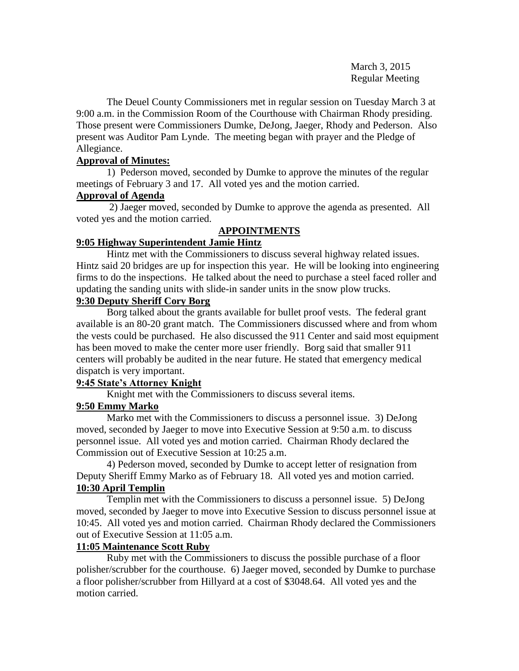March 3, 2015 Regular Meeting

The Deuel County Commissioners met in regular session on Tuesday March 3 at 9:00 a.m. in the Commission Room of the Courthouse with Chairman Rhody presiding. Those present were Commissioners Dumke, DeJong, Jaeger, Rhody and Pederson. Also present was Auditor Pam Lynde. The meeting began with prayer and the Pledge of Allegiance.

# **Approval of Minutes:**

1) Pederson moved, seconded by Dumke to approve the minutes of the regular meetings of February 3 and 17. All voted yes and the motion carried.

## **Approval of Agenda**

2) Jaeger moved, seconded by Dumke to approve the agenda as presented. All voted yes and the motion carried.

# **APPOINTMENTS**

# **9:05 Highway Superintendent Jamie Hintz**

Hintz met with the Commissioners to discuss several highway related issues. Hintz said 20 bridges are up for inspection this year. He will be looking into engineering firms to do the inspections. He talked about the need to purchase a steel faced roller and updating the sanding units with slide-in sander units in the snow plow trucks.

# **9:30 Deputy Sheriff Cory Borg**

Borg talked about the grants available for bullet proof vests. The federal grant available is an 80-20 grant match. The Commissioners discussed where and from whom the vests could be purchased. He also discussed the 911 Center and said most equipment has been moved to make the center more user friendly. Borg said that smaller 911 centers will probably be audited in the near future. He stated that emergency medical dispatch is very important.

# **9:45 State's Attorney Knight**

Knight met with the Commissioners to discuss several items.

# **9:50 Emmy Marko**

Marko met with the Commissioners to discuss a personnel issue. 3) DeJong moved, seconded by Jaeger to move into Executive Session at 9:50 a.m. to discuss personnel issue. All voted yes and motion carried. Chairman Rhody declared the Commission out of Executive Session at 10:25 a.m.

4) Pederson moved, seconded by Dumke to accept letter of resignation from Deputy Sheriff Emmy Marko as of February 18. All voted yes and motion carried. **10:30 April Templin**

Templin met with the Commissioners to discuss a personnel issue. 5) DeJong moved, seconded by Jaeger to move into Executive Session to discuss personnel issue at 10:45. All voted yes and motion carried. Chairman Rhody declared the Commissioners out of Executive Session at 11:05 a.m.

# **11:05 Maintenance Scott Ruby**

Ruby met with the Commissioners to discuss the possible purchase of a floor polisher/scrubber for the courthouse. 6) Jaeger moved, seconded by Dumke to purchase a floor polisher/scrubber from Hillyard at a cost of \$3048.64. All voted yes and the motion carried.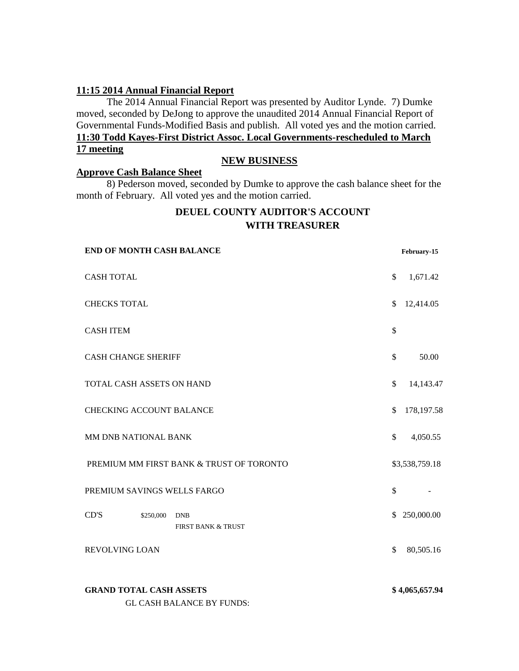## **11:15 2014 Annual Financial Report**

The 2014 Annual Financial Report was presented by Auditor Lynde. 7) Dumke moved, seconded by DeJong to approve the unaudited 2014 Annual Financial Report of Governmental Funds-Modified Basis and publish. All voted yes and the motion carried. **11:30 Todd Kayes-First District Assoc. Local Governments-rescheduled to March 17 meeting**

# **NEW BUSINESS**

## **Approve Cash Balance Sheet**

8) Pederson moved, seconded by Dumke to approve the cash balance sheet for the month of February. All voted yes and the motion carried.

# **DEUEL COUNTY AUDITOR'S ACCOUNT WITH TREASURER**

| <b>END OF MONTH CASH BALANCE</b>                                   | February-15      |
|--------------------------------------------------------------------|------------------|
| <b>CASH TOTAL</b>                                                  | \$<br>1,671.42   |
| <b>CHECKS TOTAL</b>                                                | \$<br>12,414.05  |
| <b>CASH ITEM</b>                                                   | \$               |
| <b>CASH CHANGE SHERIFF</b>                                         | \$<br>50.00      |
| TOTAL CASH ASSETS ON HAND                                          | \$<br>14,143.47  |
| <b>CHECKING ACCOUNT BALANCE</b>                                    | \$<br>178,197.58 |
| MM DNB NATIONAL BANK                                               | \$<br>4,050.55   |
| PREMIUM MM FIRST BANK & TRUST OF TORONTO                           | \$3,538,759.18   |
| PREMIUM SAVINGS WELLS FARGO                                        | \$               |
| CD'S<br>\$250,000<br><b>DNB</b><br><b>FIRST BANK &amp; TRUST</b>   | \$250,000.00     |
| <b>REVOLVING LOAN</b>                                              | \$<br>80,505.16  |
| <b>GRAND TOTAL CASH ASSETS</b><br><b>GL CASH BALANCE BY FUNDS:</b> | \$4,065,657.94   |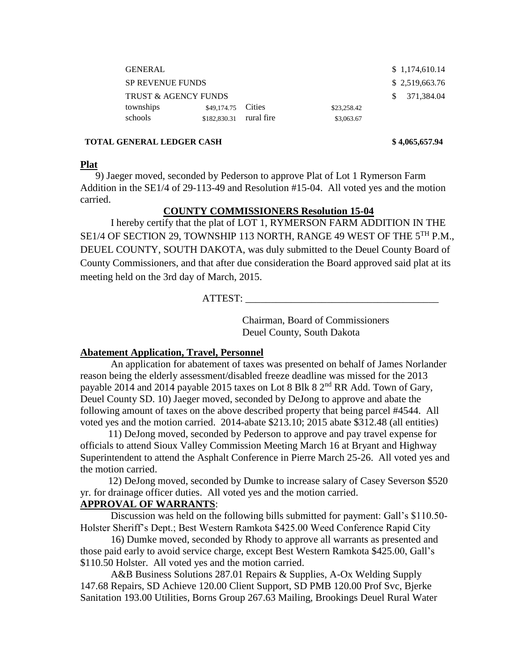| <b>GENERAL</b>                  |                         |  |             | \$1,174,610.14 |
|---------------------------------|-------------------------|--|-------------|----------------|
| <b>SP REVENUE FUNDS</b>         |                         |  |             | \$2,519,663.76 |
| <b>TRUST &amp; AGENCY FUNDS</b> |                         |  |             | \$371.384.04   |
| townships                       | \$49,174.75 Cities      |  | \$23,258.42 |                |
| schools                         | \$182,830.31 rural fire |  | \$3,063.67  |                |

#### **TOTAL GENERAL LEDGER CASH \$ 4,065,657.94**

#### **Plat**

 9) Jaeger moved, seconded by Pederson to approve Plat of Lot 1 Rymerson Farm Addition in the SE1/4 of 29-113-49 and Resolution #15-04. All voted yes and the motion carried.

# **COUNTY COMMISSIONERS Resolution 15-04**

I hereby certify that the plat of LOT 1, RYMERSON FARM ADDITION IN THE SE1/4 OF SECTION 29, TOWNSHIP 113 NORTH, RANGE 49 WEST OF THE 5<sup>TH</sup> P.M., DEUEL COUNTY, SOUTH DAKOTA, was duly submitted to the Deuel County Board of County Commissioners, and that after due consideration the Board approved said plat at its meeting held on the 3rd day of March, 2015.

ATTEST:

Chairman, Board of Commissioners Deuel County, South Dakota

### **Abatement Application, Travel, Personnel**

An application for abatement of taxes was presented on behalf of James Norlander reason being the elderly assessment/disabled freeze deadline was missed for the 2013 payable 2014 and 2014 payable 2015 taxes on Lot 8 Blk 8  $2<sup>nd</sup> RR$  Add. Town of Gary, Deuel County SD. 10) Jaeger moved, seconded by DeJong to approve and abate the following amount of taxes on the above described property that being parcel #4544. All voted yes and the motion carried. 2014-abate \$213.10; 2015 abate \$312.48 (all entities)

 11) DeJong moved, seconded by Pederson to approve and pay travel expense for officials to attend Sioux Valley Commission Meeting March 16 at Bryant and Highway Superintendent to attend the Asphalt Conference in Pierre March 25-26. All voted yes and the motion carried.

 12) DeJong moved, seconded by Dumke to increase salary of Casey Severson \$520 yr. for drainage officer duties. All voted yes and the motion carried.

## **APPROVAL OF WARRANTS**:

 Discussion was held on the following bills submitted for payment: Gall's \$110.50- Holster Sheriff's Dept.; Best Western Ramkota \$425.00 Weed Conference Rapid City

16) Dumke moved, seconded by Rhody to approve all warrants as presented and those paid early to avoid service charge, except Best Western Ramkota \$425.00, Gall's \$110.50 Holster. All voted yes and the motion carried.

 A&B Business Solutions 287.01 Repairs & Supplies, A-Ox Welding Supply 147.68 Repairs, SD Achieve 120.00 Client Support, SD PMB 120.00 Prof Svc, Bjerke Sanitation 193.00 Utilities, Borns Group 267.63 Mailing, Brookings Deuel Rural Water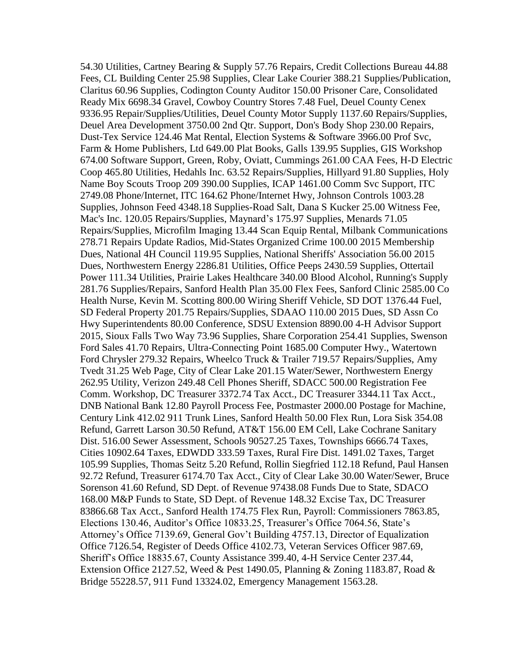54.30 Utilities, Cartney Bearing & Supply 57.76 Repairs, Credit Collections Bureau 44.88 Fees, CL Building Center 25.98 Supplies, Clear Lake Courier 388.21 Supplies/Publication, Claritus 60.96 Supplies, Codington County Auditor 150.00 Prisoner Care, Consolidated Ready Mix 6698.34 Gravel, Cowboy Country Stores 7.48 Fuel, Deuel County Cenex 9336.95 Repair/Supplies/Utilities, Deuel County Motor Supply 1137.60 Repairs/Supplies, Deuel Area Development 3750.00 2nd Qtr. Support, Don's Body Shop 230.00 Repairs, Dust-Tex Service 124.46 Mat Rental, Election Systems & Software 3966.00 Prof Svc, Farm & Home Publishers, Ltd 649.00 Plat Books, Galls 139.95 Supplies, GIS Workshop 674.00 Software Support, Green, Roby, Oviatt, Cummings 261.00 CAA Fees, H-D Electric Coop 465.80 Utilities, Hedahls Inc. 63.52 Repairs/Supplies, Hillyard 91.80 Supplies, Holy Name Boy Scouts Troop 209 390.00 Supplies, ICAP 1461.00 Comm Svc Support, ITC 2749.08 Phone/Internet, ITC 164.62 Phone/Internet Hwy, Johnson Controls 1003.28 Supplies, Johnson Feed 4348.18 Supplies-Road Salt, Dana S Kucker 25.00 Witness Fee, Mac's Inc. 120.05 Repairs/Supplies, Maynard's 175.97 Supplies, Menards 71.05 Repairs/Supplies, Microfilm Imaging 13.44 Scan Equip Rental, Milbank Communications 278.71 Repairs Update Radios, Mid-States Organized Crime 100.00 2015 Membership Dues, National 4H Council 119.95 Supplies, National Sheriffs' Association 56.00 2015 Dues, Northwestern Energy 2286.81 Utilities, Office Peeps 2430.59 Supplies, Ottertail Power 111.34 Utilities, Prairie Lakes Healthcare 340.00 Blood Alcohol, Running's Supply 281.76 Supplies/Repairs, Sanford Health Plan 35.00 Flex Fees, Sanford Clinic 2585.00 Co Health Nurse, Kevin M. Scotting 800.00 Wiring Sheriff Vehicle, SD DOT 1376.44 Fuel, SD Federal Property 201.75 Repairs/Supplies, SDAAO 110.00 2015 Dues, SD Assn Co Hwy Superintendents 80.00 Conference, SDSU Extension 8890.00 4-H Advisor Support 2015, Sioux Falls Two Way 73.96 Supplies, Share Corporation 254.41 Supplies, Swenson Ford Sales 41.70 Repairs, Ultra-Connecting Point 1685.00 Computer Hwy., Watertown Ford Chrysler 279.32 Repairs, Wheelco Truck & Trailer 719.57 Repairs/Supplies, Amy Tvedt 31.25 Web Page, City of Clear Lake 201.15 Water/Sewer, Northwestern Energy 262.95 Utility, Verizon 249.48 Cell Phones Sheriff, SDACC 500.00 Registration Fee Comm. Workshop, DC Treasurer 3372.74 Tax Acct., DC Treasurer 3344.11 Tax Acct., DNB National Bank 12.80 Payroll Process Fee, Postmaster 2000.00 Postage for Machine, Century Link 412.02 911 Trunk Lines, Sanford Health 50.00 Flex Run, Lora Sisk 354.08 Refund, Garrett Larson 30.50 Refund, AT&T 156.00 EM Cell, Lake Cochrane Sanitary Dist. 516.00 Sewer Assessment, Schools 90527.25 Taxes, Townships 6666.74 Taxes, Cities 10902.64 Taxes, EDWDD 333.59 Taxes, Rural Fire Dist. 1491.02 Taxes, Target 105.99 Supplies, Thomas Seitz 5.20 Refund, Rollin Siegfried 112.18 Refund, Paul Hansen 92.72 Refund, Treasurer 6174.70 Tax Acct., City of Clear Lake 30.00 Water/Sewer, Bruce Sorenson 41.60 Refund, SD Dept. of Revenue 97438.08 Funds Due to State, SDACO 168.00 M&P Funds to State, SD Dept. of Revenue 148.32 Excise Tax, DC Treasurer 83866.68 Tax Acct., Sanford Health 174.75 Flex Run, Payroll: Commissioners 7863.85, Elections 130.46, Auditor's Office 10833.25, Treasurer's Office 7064.56, State's Attorney's Office 7139.69, General Gov't Building 4757.13, Director of Equalization Office 7126.54, Register of Deeds Office 4102.73, Veteran Services Officer 987.69, Sheriff's Office 18835.67, County Assistance 399.40, 4-H Service Center 237.44, Extension Office 2127.52, Weed & Pest 1490.05, Planning & Zoning 1183.87, Road & Bridge 55228.57, 911 Fund 13324.02, Emergency Management 1563.28.